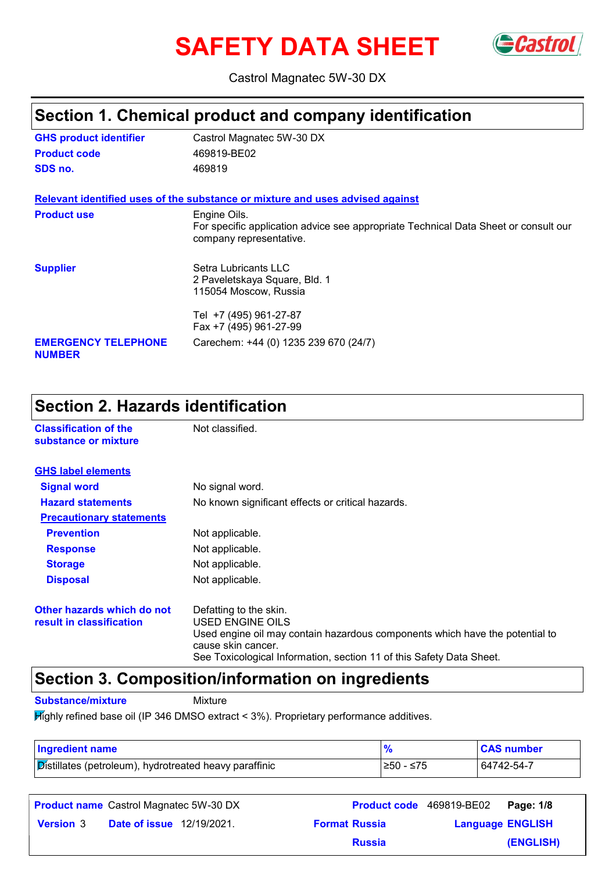# **SAFETY DATA SHEET** GCastrol



Castrol Magnatec 5W-30 DX

### **Section 1. Chemical product and company identification**

| <b>GHS product identifier</b>               | Castrol Magnatec 5W-30 DX                                                                                                      |
|---------------------------------------------|--------------------------------------------------------------------------------------------------------------------------------|
| <b>Product code</b>                         | 469819-BE02                                                                                                                    |
| SDS no.                                     | 469819                                                                                                                         |
|                                             | Relevant identified uses of the substance or mixture and uses advised against                                                  |
| <b>Product use</b>                          | Engine Oils.<br>For specific application advice see appropriate Technical Data Sheet or consult our<br>company representative. |
| <b>Supplier</b>                             | Setra Lubricants LLC<br>2 Paveletskaya Square, Bld. 1<br>115054 Moscow, Russia                                                 |
|                                             | Tel +7 (495) 961-27-87<br>Fax +7 (495) 961-27-99                                                                               |
| <b>EMERGENCY TELEPHONE</b><br><b>NUMBER</b> | Carechem: +44 (0) 1235 239 670 (24/7)                                                                                          |

### **Section 2. Hazards identification**

| <b>Classification of the</b><br>substance or mixture   | Not classified.                                                                                                                                                                                                          |
|--------------------------------------------------------|--------------------------------------------------------------------------------------------------------------------------------------------------------------------------------------------------------------------------|
| <b>GHS label elements</b>                              |                                                                                                                                                                                                                          |
| <b>Signal word</b>                                     | No signal word.                                                                                                                                                                                                          |
| <b>Hazard statements</b>                               | No known significant effects or critical hazards.                                                                                                                                                                        |
| <b>Precautionary statements</b>                        |                                                                                                                                                                                                                          |
| <b>Prevention</b>                                      | Not applicable.                                                                                                                                                                                                          |
| <b>Response</b>                                        | Not applicable.                                                                                                                                                                                                          |
| <b>Storage</b>                                         | Not applicable.                                                                                                                                                                                                          |
| <b>Disposal</b>                                        | Not applicable.                                                                                                                                                                                                          |
| Other hazards which do not<br>result in classification | Defatting to the skin.<br>USED ENGINE OILS<br>Used engine oil may contain hazardous components which have the potential to<br>cause skin cancer.<br>See Toxicological Information, section 11 of this Safety Data Sheet. |

### **Section 3. Composition/information on ingredients**

**Substance/mixture** Mixture

Highly refined base oil (IP 346 DMSO extract < 3%). Proprietary performance additives.

| <b>Ingredient name</b>                                 |            | <b>CAS number</b> |
|--------------------------------------------------------|------------|-------------------|
| Distillates (petroleum), hydrotreated heavy paraffinic | l≥50 - ≤75 | 64742-54-7        |

|                  | <b>Product name</b> Castrol Magnatec 5W-30 DX | <b>Product code</b> 469819-BE02 |                         | Page: 1/8 |
|------------------|-----------------------------------------------|---------------------------------|-------------------------|-----------|
| <b>Version</b> 3 | <b>Date of issue</b> 12/19/2021.              | <b>Format Russia</b>            | <b>Language ENGLISH</b> |           |
|                  |                                               | <b>Russia</b>                   |                         | (ENGLISH) |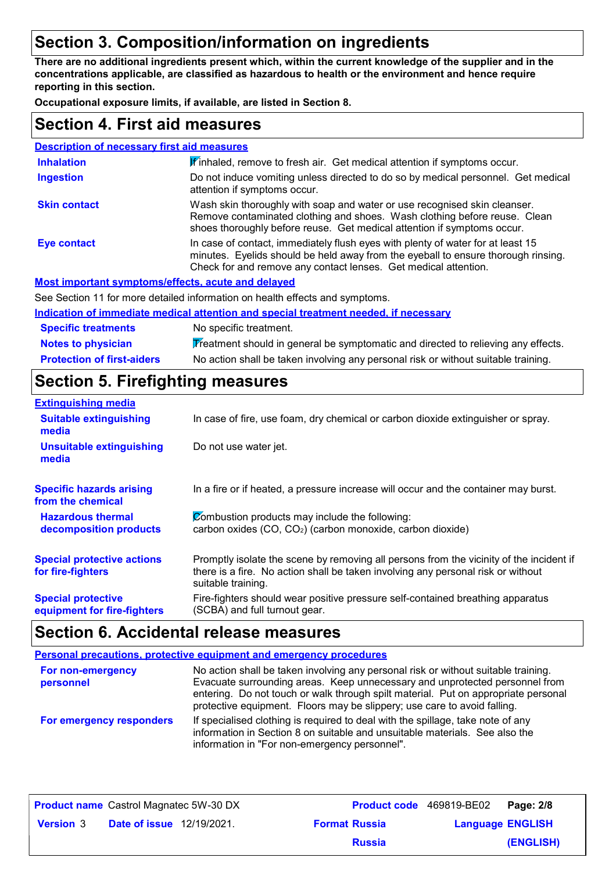### **Section 3. Composition/information on ingredients**

**There are no additional ingredients present which, within the current knowledge of the supplier and in the concentrations applicable, are classified as hazardous to health or the environment and hence require reporting in this section.**

**Occupational exposure limits, if available, are listed in Section 8.**

### **Section 4. First aid measures**

| <b>Description of necessary first aid measures</b> |                                                                                                                                                                                                                                         |
|----------------------------------------------------|-----------------------------------------------------------------------------------------------------------------------------------------------------------------------------------------------------------------------------------------|
| <b>Inhalation</b>                                  | If inhaled, remove to fresh air. Get medical attention if symptoms occur.                                                                                                                                                               |
| <b>Ingestion</b>                                   | Do not induce vomiting unless directed to do so by medical personnel. Get medical<br>attention if symptoms occur.                                                                                                                       |
| <b>Skin contact</b>                                | Wash skin thoroughly with soap and water or use recognised skin cleanser.<br>Remove contaminated clothing and shoes. Wash clothing before reuse. Clean<br>shoes thoroughly before reuse. Get medical attention if symptoms occur.       |
| <b>Eye contact</b>                                 | In case of contact, immediately flush eyes with plenty of water for at least 15<br>minutes. Eyelids should be held away from the eyeball to ensure thorough rinsing.<br>Check for and remove any contact lenses. Get medical attention. |
| Most important symptoms/effects, acute and delayed |                                                                                                                                                                                                                                         |
|                                                    | See Section 11 for more detailed information on health effects and symptoms.                                                                                                                                                            |
|                                                    | Indication of immediate medical attention and special treatment needed, if necessary                                                                                                                                                    |

| <b>Specific treatments</b>        | No specific treatment.                                                             |
|-----------------------------------|------------------------------------------------------------------------------------|
| <b>Notes to physician</b>         | Treatment should in general be symptomatic and directed to relieving any effects.  |
| <b>Protection of first-aiders</b> | No action shall be taken involving any personal risk or without suitable training. |

### **Section 5. Firefighting measures**

| <b>Extinguishing media</b>                               |                                                                                                                                                                                                   |
|----------------------------------------------------------|---------------------------------------------------------------------------------------------------------------------------------------------------------------------------------------------------|
| <b>Suitable extinguishing</b><br>media                   | In case of fire, use foam, dry chemical or carbon dioxide extinguisher or spray.                                                                                                                  |
| <b>Unsuitable extinguishing</b><br>media                 | Do not use water jet.                                                                                                                                                                             |
| <b>Specific hazards arising</b><br>from the chemical     | In a fire or if heated, a pressure increase will occur and the container may burst.                                                                                                               |
| <b>Hazardous thermal</b><br>decomposition products       | Combustion products may include the following:<br>carbon oxides (CO, CO <sub>2</sub> ) (carbon monoxide, carbon dioxide)                                                                          |
| <b>Special protective actions</b><br>for fire-fighters   | Promptly isolate the scene by removing all persons from the vicinity of the incident if<br>there is a fire. No action shall be taken involving any personal risk or without<br>suitable training. |
| <b>Special protective</b><br>equipment for fire-fighters | Fire-fighters should wear positive pressure self-contained breathing apparatus<br>(SCBA) and full turnout gear.                                                                                   |

### **Section 6. Accidental release measures**

|                                | <b>Personal precautions, protective equipment and emergency procedures</b>                                                                                                                                                                                                                                                          |
|--------------------------------|-------------------------------------------------------------------------------------------------------------------------------------------------------------------------------------------------------------------------------------------------------------------------------------------------------------------------------------|
| For non-emergency<br>personnel | No action shall be taken involving any personal risk or without suitable training.<br>Evacuate surrounding areas. Keep unnecessary and unprotected personnel from<br>entering. Do not touch or walk through spilt material. Put on appropriate personal<br>protective equipment. Floors may be slippery; use care to avoid falling. |
| For emergency responders       | If specialised clothing is required to deal with the spillage, take note of any<br>information in Section 8 on suitable and unsuitable materials. See also the<br>information in "For non-emergency personnel".                                                                                                                     |

|                  | <b>Product name</b> Castrol Magnatec 5W-30 DX | Product code 469819-BE02 |                         | Page: 2/8 |
|------------------|-----------------------------------------------|--------------------------|-------------------------|-----------|
| <b>Version</b> 3 | <b>Date of issue</b> 12/19/2021.              | <b>Format Russia</b>     | <b>Language ENGLISH</b> |           |
|                  |                                               | <b>Russia</b>            |                         | (ENGLISH) |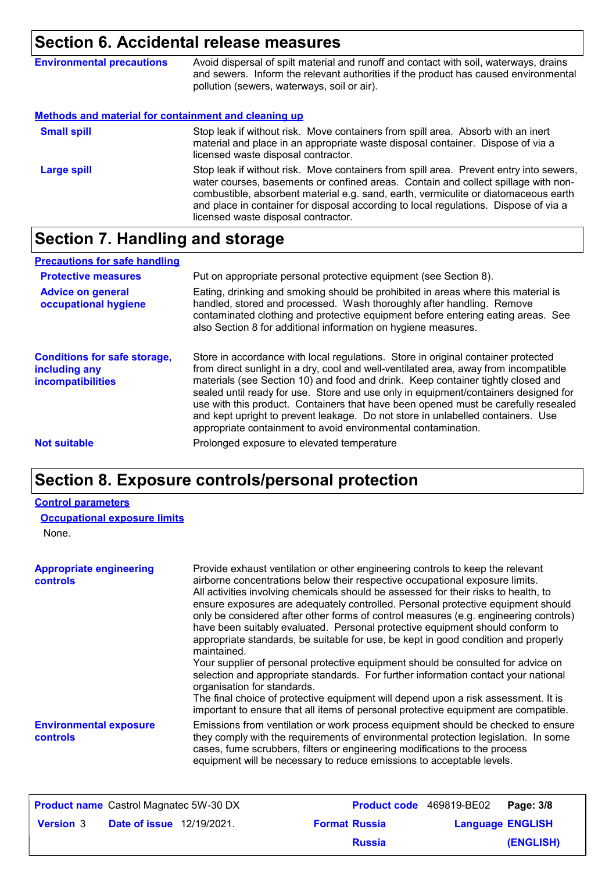### **Section 6. Accidental release measures**

|                                                                                                                                                       | Avoid dispersal of spilt material and runoff and contact with soil, waterways, drains<br>and sewers. Inform the relevant authorities if the product has caused environmental<br>pollution (sewers, waterways, soil or air).                                                                                                                                 |
|-------------------------------------------------------------------------------------------------------------------------------------------------------|-------------------------------------------------------------------------------------------------------------------------------------------------------------------------------------------------------------------------------------------------------------------------------------------------------------------------------------------------------------|
| <b>Environmental precautions</b><br>Methods and material for containment and cleaning up<br>licensed waste disposal contractor.<br><b>Large spill</b> |                                                                                                                                                                                                                                                                                                                                                             |
| <b>Small spill</b>                                                                                                                                    | Stop leak if without risk. Move containers from spill area. Absorb with an inert<br>material and place in an appropriate waste disposal container. Dispose of via a                                                                                                                                                                                         |
|                                                                                                                                                       | Stop leak if without risk. Move containers from spill area. Prevent entry into sewers,<br>water courses, basements or confined areas. Contain and collect spillage with non-<br>combustible, absorbent material e.g. sand, earth, vermiculite or diatomaceous earth<br>and place in container for disposal according to local regulations. Dispose of via a |

licensed waste disposal contractor.

## **Section 7. Handling and storage**

| <b>Precautions for safe handling</b>                                      |                                                                                                                                                                                                                                                                                                                                                                                                                                                                                                                                                                                                |
|---------------------------------------------------------------------------|------------------------------------------------------------------------------------------------------------------------------------------------------------------------------------------------------------------------------------------------------------------------------------------------------------------------------------------------------------------------------------------------------------------------------------------------------------------------------------------------------------------------------------------------------------------------------------------------|
| <b>Protective measures</b>                                                | Put on appropriate personal protective equipment (see Section 8).                                                                                                                                                                                                                                                                                                                                                                                                                                                                                                                              |
| <b>Advice on general</b><br>occupational hygiene                          | Eating, drinking and smoking should be prohibited in areas where this material is<br>handled, stored and processed. Wash thoroughly after handling. Remove<br>contaminated clothing and protective equipment before entering eating areas. See<br>also Section 8 for additional information on hygiene measures.                                                                                                                                                                                                                                                                               |
| <b>Conditions for safe storage,</b><br>including any<br>incompatibilities | Store in accordance with local regulations. Store in original container protected<br>from direct sunlight in a dry, cool and well-ventilated area, away from incompatible<br>materials (see Section 10) and food and drink. Keep container tightly closed and<br>sealed until ready for use. Store and use only in equipment/containers designed for<br>use with this product. Containers that have been opened must be carefully resealed<br>and kept upright to prevent leakage. Do not store in unlabelled containers. Use<br>appropriate containment to avoid environmental contamination. |
| <b>Not suitable</b>                                                       | Prolonged exposure to elevated temperature                                                                                                                                                                                                                                                                                                                                                                                                                                                                                                                                                     |

### **Section 8. Exposure controls/personal protection**

#### **Control parameters**

| <b>Occupational exposure limits</b> |  |  |  |
|-------------------------------------|--|--|--|
|-------------------------------------|--|--|--|

None.

| <b>Appropriate engineering</b><br><b>controls</b> | Provide exhaust ventilation or other engineering controls to keep the relevant<br>airborne concentrations below their respective occupational exposure limits.<br>All activities involving chemicals should be assessed for their risks to health, to<br>ensure exposures are adequately controlled. Personal protective equipment should<br>only be considered after other forms of control measures (e.g. engineering controls)<br>have been suitably evaluated. Personal protective equipment should conform to<br>appropriate standards, be suitable for use, be kept in good condition and properly<br>maintained.<br>Your supplier of personal protective equipment should be consulted for advice on<br>selection and appropriate standards. For further information contact your national<br>organisation for standards.<br>The final choice of protective equipment will depend upon a risk assessment. It is<br>important to ensure that all items of personal protective equipment are compatible. |
|---------------------------------------------------|---------------------------------------------------------------------------------------------------------------------------------------------------------------------------------------------------------------------------------------------------------------------------------------------------------------------------------------------------------------------------------------------------------------------------------------------------------------------------------------------------------------------------------------------------------------------------------------------------------------------------------------------------------------------------------------------------------------------------------------------------------------------------------------------------------------------------------------------------------------------------------------------------------------------------------------------------------------------------------------------------------------|
| <b>Environmental exposure</b><br><b>controls</b>  | Emissions from ventilation or work process equipment should be checked to ensure<br>they comply with the requirements of environmental protection legislation. In some<br>cases, fume scrubbers, filters or engineering modifications to the process<br>equipment will be necessary to reduce emissions to acceptable levels.                                                                                                                                                                                                                                                                                                                                                                                                                                                                                                                                                                                                                                                                                 |

|                  | <b>Product name</b> Castrol Magnatec 5W-30 DX |                      | <b>Product code</b> 469819-BE02 Page: 3/8 |                         |
|------------------|-----------------------------------------------|----------------------|-------------------------------------------|-------------------------|
| <b>Version 3</b> | <b>Date of issue</b> 12/19/2021.              | <b>Format Russia</b> |                                           | <b>Language ENGLISH</b> |
|                  |                                               | <b>Russia</b>        |                                           | (ENGLISH)               |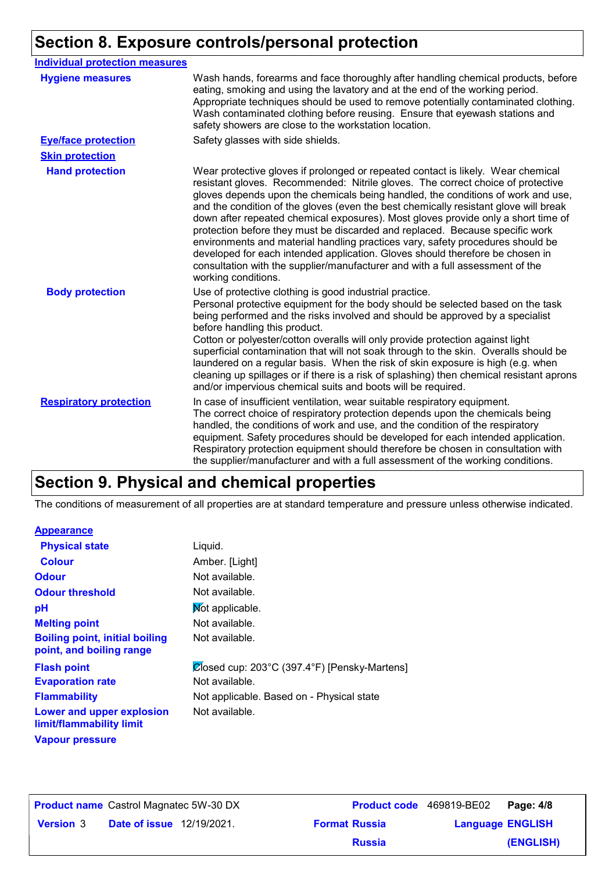### **Section 8. Exposure controls/personal protection**

| <b>Individual protection measures</b> |                                                                                                                                                                                                                                                                                                                                                                                                                                                                                                                                                                                                                                                                                                                                                                                                 |
|---------------------------------------|-------------------------------------------------------------------------------------------------------------------------------------------------------------------------------------------------------------------------------------------------------------------------------------------------------------------------------------------------------------------------------------------------------------------------------------------------------------------------------------------------------------------------------------------------------------------------------------------------------------------------------------------------------------------------------------------------------------------------------------------------------------------------------------------------|
| <b>Hygiene measures</b>               | Wash hands, forearms and face thoroughly after handling chemical products, before<br>eating, smoking and using the lavatory and at the end of the working period.<br>Appropriate techniques should be used to remove potentially contaminated clothing.<br>Wash contaminated clothing before reusing. Ensure that eyewash stations and<br>safety showers are close to the workstation location.                                                                                                                                                                                                                                                                                                                                                                                                 |
| <b>Eve/face protection</b>            | Safety glasses with side shields.                                                                                                                                                                                                                                                                                                                                                                                                                                                                                                                                                                                                                                                                                                                                                               |
| <b>Skin protection</b>                |                                                                                                                                                                                                                                                                                                                                                                                                                                                                                                                                                                                                                                                                                                                                                                                                 |
| <b>Hand protection</b>                | Wear protective gloves if prolonged or repeated contact is likely. Wear chemical<br>resistant gloves. Recommended: Nitrile gloves. The correct choice of protective<br>gloves depends upon the chemicals being handled, the conditions of work and use,<br>and the condition of the gloves (even the best chemically resistant glove will break<br>down after repeated chemical exposures). Most gloves provide only a short time of<br>protection before they must be discarded and replaced. Because specific work<br>environments and material handling practices vary, safety procedures should be<br>developed for each intended application. Gloves should therefore be chosen in<br>consultation with the supplier/manufacturer and with a full assessment of the<br>working conditions. |
| <b>Body protection</b>                | Use of protective clothing is good industrial practice.<br>Personal protective equipment for the body should be selected based on the task<br>being performed and the risks involved and should be approved by a specialist<br>before handling this product.<br>Cotton or polyester/cotton overalls will only provide protection against light<br>superficial contamination that will not soak through to the skin. Overalls should be<br>laundered on a regular basis. When the risk of skin exposure is high (e.g. when<br>cleaning up spillages or if there is a risk of splashing) then chemical resistant aprons<br>and/or impervious chemical suits and boots will be required.                                                                                                           |
| <b>Respiratory protection</b>         | In case of insufficient ventilation, wear suitable respiratory equipment.<br>The correct choice of respiratory protection depends upon the chemicals being<br>handled, the conditions of work and use, and the condition of the respiratory<br>equipment. Safety procedures should be developed for each intended application.<br>Respiratory protection equipment should therefore be chosen in consultation with<br>the supplier/manufacturer and with a full assessment of the working conditions.                                                                                                                                                                                                                                                                                           |

### **Section 9. Physical and chemical properties**

The conditions of measurement of all properties are at standard temperature and pressure unless otherwise indicated.

#### **Appearance**

| <b>Physical state</b>                                             | Liquid.                                      |
|-------------------------------------------------------------------|----------------------------------------------|
| <b>Colour</b>                                                     | Amber. [Light]                               |
| <b>Odour</b>                                                      | Not available.                               |
| <b>Odour threshold</b>                                            | Not available.                               |
| рH                                                                | Mot applicable.                              |
| <b>Melting point</b>                                              | Not available.                               |
| <b>Boiling point, initial boiling</b><br>point, and boiling range | Not available.                               |
| <b>Flash point</b>                                                | Closed cup: 203°C (397.4°F) [Pensky-Martens] |
| <b>Evaporation rate</b>                                           | Not available.                               |
| <b>Flammability</b>                                               | Not applicable. Based on - Physical state    |
| Lower and upper explosion<br>limit/flammability limit             | Not available.                               |
| <b>Vapour pressure</b>                                            |                                              |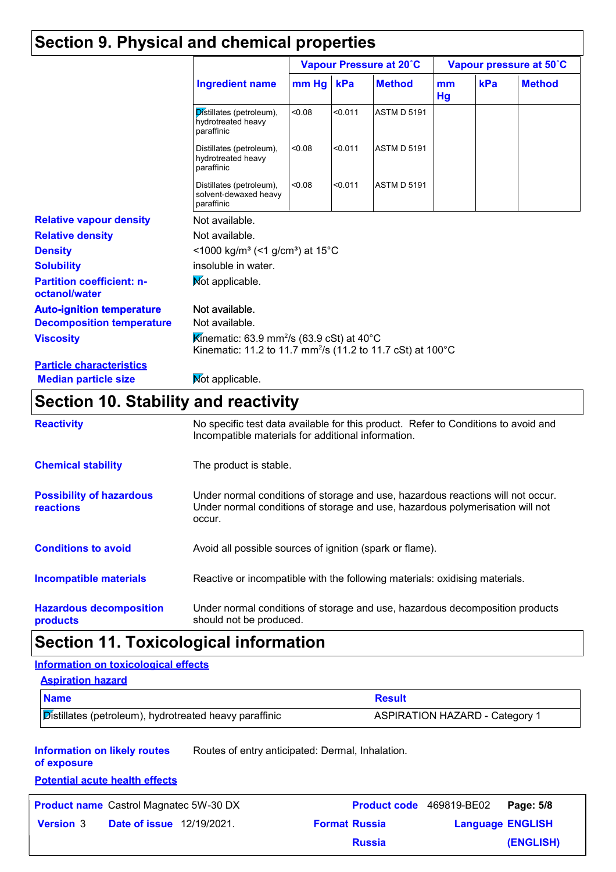### **Section 9. Physical and chemical properties**

|                                                   |                                                                                                                                  | Vapour Pressure at 20°C                                 |         |                    | Vapour pressure at 50°C |     |               |
|---------------------------------------------------|----------------------------------------------------------------------------------------------------------------------------------|---------------------------------------------------------|---------|--------------------|-------------------------|-----|---------------|
|                                                   | <b>Ingredient name</b>                                                                                                           | $mm$ Hg                                                 | kPa     | <b>Method</b>      | mm<br>Hg                | kPa | <b>Method</b> |
|                                                   | Distillates (petroleum),<br>hydrotreated heavy<br>paraffinic                                                                     | < 0.08                                                  | < 0.011 | <b>ASTM D 5191</b> |                         |     |               |
|                                                   | Distillates (petroleum),<br>hydrotreated heavy<br>paraffinic                                                                     | < 0.08                                                  | < 0.011 | <b>ASTM D 5191</b> |                         |     |               |
|                                                   | Distillates (petroleum),<br>solvent-dewaxed heavy<br>paraffinic                                                                  | < 0.08                                                  | < 0.011 | <b>ASTM D 5191</b> |                         |     |               |
| <b>Relative vapour density</b>                    | Not available.                                                                                                                   |                                                         |         |                    |                         |     |               |
| <b>Relative density</b>                           | Not available.                                                                                                                   |                                                         |         |                    |                         |     |               |
| <b>Density</b>                                    |                                                                                                                                  | <1000 kg/m <sup>3</sup> (<1 g/cm <sup>3</sup> ) at 15°C |         |                    |                         |     |               |
| <b>Solubility</b>                                 | insoluble in water.                                                                                                              |                                                         |         |                    |                         |     |               |
| <b>Partition coefficient: n-</b><br>octanol/water | Mot applicable.                                                                                                                  |                                                         |         |                    |                         |     |               |
| <b>Auto-ignition temperature</b>                  | Not available.                                                                                                                   |                                                         |         |                    |                         |     |               |
| <b>Decomposition temperature</b>                  | Not available.                                                                                                                   |                                                         |         |                    |                         |     |               |
| <b>Viscosity</b>                                  | Kinematic: 63.9 mm <sup>2</sup> /s (63.9 cSt) at 40°C<br>Kinematic: 11.2 to 11.7 mm <sup>2</sup> /s (11.2 to 11.7 cSt) at 100 °C |                                                         |         |                    |                         |     |               |
| <b>Particle characteristics</b>                   |                                                                                                                                  |                                                         |         |                    |                         |     |               |
| <b>Median particle size</b>                       | Mot applicable.                                                                                                                  |                                                         |         |                    |                         |     |               |

### **Section 10. Stability and reactivity**

| <b>Reactivity</b>                            | No specific test data available for this product. Refer to Conditions to avoid and<br>Incompatible materials for additional information.                                   |
|----------------------------------------------|----------------------------------------------------------------------------------------------------------------------------------------------------------------------------|
| <b>Chemical stability</b>                    | The product is stable.                                                                                                                                                     |
| <b>Possibility of hazardous</b><br>reactions | Under normal conditions of storage and use, hazardous reactions will not occur.<br>Under normal conditions of storage and use, hazardous polymerisation will not<br>occur. |
| <b>Conditions to avoid</b>                   | Avoid all possible sources of ignition (spark or flame).                                                                                                                   |
| <b>Incompatible materials</b>                | Reactive or incompatible with the following materials: oxidising materials.                                                                                                |
| <b>Hazardous decomposition</b><br>products   | Under normal conditions of storage and use, hazardous decomposition products<br>should not be produced.                                                                    |

### **Section 11. Toxicological information**

### **Information on toxicological effects**

| <b>Aspiration hazard</b>                                      |                                       |
|---------------------------------------------------------------|---------------------------------------|
| <b>Name</b>                                                   | <b>Result</b>                         |
| <b>Distillates (petroleum), hydrotreated heavy paraffinic</b> | <b>ASPIRATION HAZARD - Category 1</b> |

**Information on likely routes**  Routes of entry anticipated: Dermal, Inhalation.

**of exposure Potential acute health effects**

| <u>. Ulufilm abalu fiuafiff uffuolu</u> |                                                                                   |                          |
|-----------------------------------------|-----------------------------------------------------------------------------------|--------------------------|
|                                         |                                                                                   | Page: 5/8                |
|                                         | <b>Format Russia</b>                                                              | <b>Language ENGLISH</b>  |
|                                         | <b>Russia</b>                                                                     | (ENGLISH)                |
|                                         | <b>Product name</b> Castrol Magnatec 5W-30 DX<br><b>Date of issue</b> 12/19/2021. | Product code 469819-BE02 |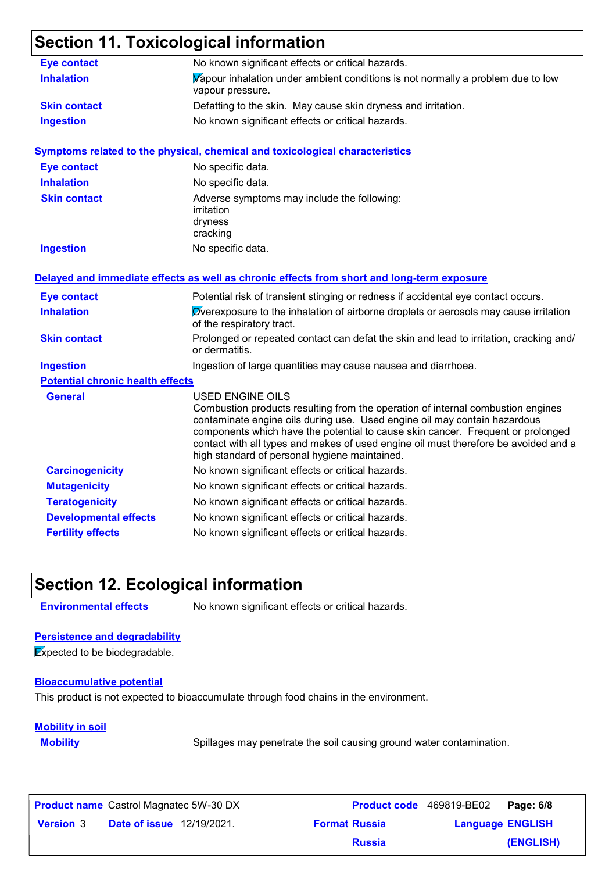### **Section 11. Toxicological information**

| <b>Eye contact</b>                      | No known significant effects or critical hazards.                                                                                                                                                                                                                                                                                                                                                                  |
|-----------------------------------------|--------------------------------------------------------------------------------------------------------------------------------------------------------------------------------------------------------------------------------------------------------------------------------------------------------------------------------------------------------------------------------------------------------------------|
| <b>Inhalation</b>                       | Vapour inhalation under ambient conditions is not normally a problem due to low<br>vapour pressure.                                                                                                                                                                                                                                                                                                                |
| <b>Skin contact</b>                     | Defatting to the skin. May cause skin dryness and irritation.                                                                                                                                                                                                                                                                                                                                                      |
| <b>Ingestion</b>                        | No known significant effects or critical hazards.                                                                                                                                                                                                                                                                                                                                                                  |
|                                         | <b>Symptoms related to the physical, chemical and toxicological characteristics</b>                                                                                                                                                                                                                                                                                                                                |
| <b>Eye contact</b>                      | No specific data.                                                                                                                                                                                                                                                                                                                                                                                                  |
| <b>Inhalation</b>                       | No specific data.                                                                                                                                                                                                                                                                                                                                                                                                  |
| <b>Skin contact</b>                     | Adverse symptoms may include the following:<br>irritation<br>dryness<br>cracking                                                                                                                                                                                                                                                                                                                                   |
| <b>Ingestion</b>                        | No specific data.                                                                                                                                                                                                                                                                                                                                                                                                  |
|                                         | Delayed and immediate effects as well as chronic effects from short and long-term exposure                                                                                                                                                                                                                                                                                                                         |
| <b>Eye contact</b>                      | Potential risk of transient stinging or redness if accidental eye contact occurs.                                                                                                                                                                                                                                                                                                                                  |
| <b>Inhalation</b>                       | Overexposure to the inhalation of airborne droplets or aerosols may cause irritation<br>of the respiratory tract.                                                                                                                                                                                                                                                                                                  |
| <b>Skin contact</b>                     | Prolonged or repeated contact can defat the skin and lead to irritation, cracking and/<br>or dermatitis.                                                                                                                                                                                                                                                                                                           |
| <b>Ingestion</b>                        | Ingestion of large quantities may cause nausea and diarrhoea.                                                                                                                                                                                                                                                                                                                                                      |
| <b>Potential chronic health effects</b> |                                                                                                                                                                                                                                                                                                                                                                                                                    |
| <b>General</b>                          | <b>USED ENGINE OILS</b><br>Combustion products resulting from the operation of internal combustion engines<br>contaminate engine oils during use. Used engine oil may contain hazardous<br>components which have the potential to cause skin cancer. Frequent or prolonged<br>contact with all types and makes of used engine oil must therefore be avoided and a<br>high standard of personal hygiene maintained. |
| <b>Carcinogenicity</b>                  | No known significant effects or critical hazards.                                                                                                                                                                                                                                                                                                                                                                  |
| <b>Mutagenicity</b>                     | No known significant effects or critical hazards.                                                                                                                                                                                                                                                                                                                                                                  |
| <b>Teratogenicity</b>                   | No known significant effects or critical hazards.                                                                                                                                                                                                                                                                                                                                                                  |
| <b>Developmental effects</b>            | No known significant effects or critical hazards.                                                                                                                                                                                                                                                                                                                                                                  |
| <b>Fertility effects</b>                | No known significant effects or critical hazards.                                                                                                                                                                                                                                                                                                                                                                  |

### **Section 12. Ecological information**

**Environmental effects** No known significant effects or critical hazards.

#### **Persistence and degradability**

**Expected to be biodegradable.** 

#### **Bioaccumulative potential**

This product is not expected to bioaccumulate through food chains in the environment.

#### **Mobility in soil**

**Mobility** Spillages may penetrate the soil causing ground water contamination.

|                  | <b>Product name</b> Castrol Magnatec 5W-30 DX | <b>Product code</b> 469819-BE02 |                         | Page: 6/8 |
|------------------|-----------------------------------------------|---------------------------------|-------------------------|-----------|
| <b>Version 3</b> | <b>Date of issue</b> 12/19/2021.              | <b>Format Russia</b>            | <b>Language ENGLISH</b> |           |
|                  |                                               | <b>Russia</b>                   |                         | (ENGLISH) |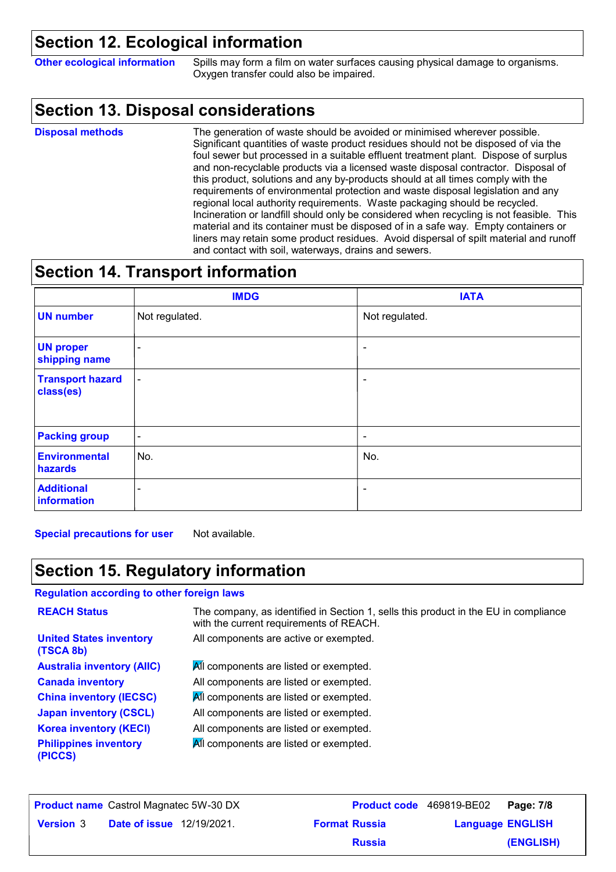### **Section 12. Ecological information**

**Other ecological information** Spills may form a film on water surfaces causing physical damage to organisms. Oxygen transfer could also be impaired.

### **Section 13. Disposal considerations**

The generation of waste should be avoided or minimised wherever possible. Significant quantities of waste product residues should not be disposed of via the foul sewer but processed in a suitable effluent treatment plant. Dispose of surplus and non-recyclable products via a licensed waste disposal contractor. Disposal of this product, solutions and any by-products should at all times comply with the requirements of environmental protection and waste disposal legislation and any regional local authority requirements. Waste packaging should be recycled. Incineration or landfill should only be considered when recycling is not feasible. This material and its container must be disposed of in a safe way. Empty containers or liners may retain some product residues. Avoid dispersal of spilt material and runoff and contact with soil, waterways, drains and sewers. **Disposal methods**

### **Section 14. Transport information**

|                                      | <b>IMDG</b>    | <b>IATA</b>              |
|--------------------------------------|----------------|--------------------------|
| <b>UN number</b>                     | Not regulated. | Not regulated.           |
| <b>UN proper</b><br>shipping name    | $\blacksquare$ | $\overline{\phantom{a}}$ |
| <b>Transport hazard</b><br>class(es) | $\blacksquare$ | $\overline{\phantom{a}}$ |
| <b>Packing group</b>                 | $\sim$         | $\blacksquare$           |
| <b>Environmental</b><br>hazards      | No.            | No.                      |
| <b>Additional</b><br>information     | ۰              | $\blacksquare$           |

**Special precautions for user** Not available.

### **Section 15. Regulatory information**

#### **Regulation according to other foreign laws**

| <b>REACH Status</b>                         | The company, as identified in Section 1, sells this product in the EU in compliance<br>with the current requirements of REACH. |
|---------------------------------------------|--------------------------------------------------------------------------------------------------------------------------------|
| <b>United States inventory</b><br>(TSCA 8b) | All components are active or exempted.                                                                                         |
| <b>Australia inventory (AIIC)</b>           | All components are listed or exempted.                                                                                         |
| <b>Canada inventory</b>                     | All components are listed or exempted.                                                                                         |
| <b>China inventory (IECSC)</b>              | All components are listed or exempted.                                                                                         |
| <b>Japan inventory (CSCL)</b>               | All components are listed or exempted.                                                                                         |
| <b>Korea inventory (KECI)</b>               | All components are listed or exempted.                                                                                         |
| <b>Philippines inventory</b><br>(PICCS)     | All components are listed or exempted.                                                                                         |

| <b>Product name</b> Castrol Magnatec 5W-30 DX |                                  |  |                      | <b>Product code</b> 469819-BE02   Page: 7/8 |           |
|-----------------------------------------------|----------------------------------|--|----------------------|---------------------------------------------|-----------|
| <b>Version 3</b>                              | <b>Date of issue</b> 12/19/2021. |  | <b>Format Russia</b> | <b>Language ENGLISH</b>                     |           |
|                                               |                                  |  | <b>Russia</b>        |                                             | (ENGLISH) |